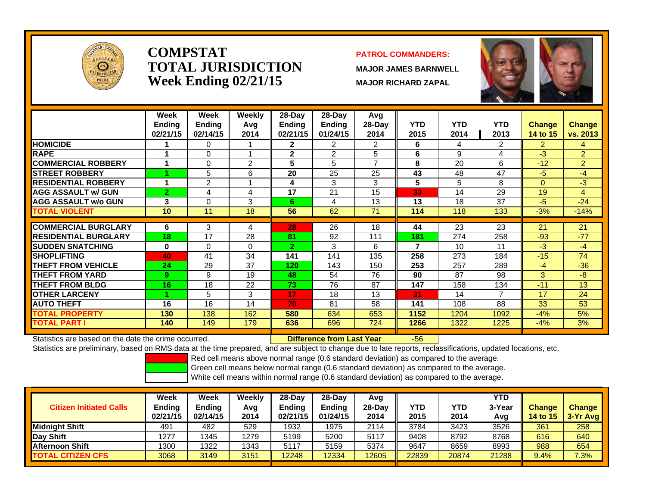

### **COMPSTATTOTAL JURISDICTIONWeek Ending 02/21/15 MAJOR RICHARD ZAPAL**

### **PATROL COMMANDERS:**

**MAJOR JAMES BARNWELL**

-56



|                             | Week<br><b>Ending</b> | Week<br><b>Ending</b> | Weekly<br>Avq | $28$ -Day<br><b>Ending</b> | $28$ -Day<br>Ending | Avg<br>$28-Day$ | <b>YTD</b> | <b>YTD</b> | <b>YTD</b>     | <b>Change</b>  | <b>Change</b>  |
|-----------------------------|-----------------------|-----------------------|---------------|----------------------------|---------------------|-----------------|------------|------------|----------------|----------------|----------------|
|                             | 02/21/15              | 02/14/15              | 2014          | 02/21/15                   | 01/24/15            | 2014            | 2015       | 2014       | 2013           | 14 to 15       | vs. 2013       |
| <b>HOMICIDE</b>             |                       | 0                     |               | $\mathbf{2}$               | 2                   | 2               | 6          | 4          | 2              | $\overline{2}$ | 4              |
| RAPE                        |                       | 0                     |               | $\mathbf{2}$               | 2                   | 5               | 6          | 9          | 4              | $-3$           | $\overline{2}$ |
| <b>COMMERCIAL ROBBERY</b>   |                       | 0                     | 2             | 5                          | 5                   | 7               | 8          | 20         | 6              | $-12$          | $\overline{2}$ |
| <b>ISTREET ROBBERY</b>      |                       | 5                     | 6             | 20                         | 25                  | 25              | 43         | 48         | 47             | $-5$           | -4             |
| <b>RESIDENTIAL ROBBERY</b>  |                       | 2                     |               | 4                          | 3                   | 3               | 5          | 5          | 8              | $\Omega$       | $-3$           |
| <b>AGG ASSAULT w/ GUN</b>   | $\overline{2}$        | 4                     | 4             | 17                         | 21                  | 15              | 33         | 14         | 29             | 19             | 4              |
| <b>AGG ASSAULT w/o GUN</b>  | 3                     | 0                     | 3             | 6                          | 4                   | 13              | 13         | 18         | 37             | $-5$           | $-24$          |
| <b>TOTAL VIOLENT</b>        | 10                    | 11                    | 18            | 56                         | 62                  | 71              | 114        | 118        | 133            | $-3%$          | $-14%$         |
|                             |                       |                       |               |                            |                     |                 |            |            |                |                |                |
| <b>COMMERCIAL BURGLARY</b>  | 6                     | 3                     | 4             | 28                         | 26                  | 18              | 44         | 23         | 23             | 21             | 21             |
| <b>RESIDENTIAL BURGLARY</b> | 18                    | 17                    | 28            | 81                         | 92                  | 111             | 181        | 274        | 258            | $-93$          | $-77$          |
| <b>SUDDEN SNATCHING</b>     | 0                     | $\Omega$              | $\Omega$      | $\overline{2}$             | 3                   | 6               | 7          | 10         | 11             | $-3$           | $-4$           |
| <b>SHOPLIFTING</b>          | 40                    | 41                    | 34            | 141                        | 141                 | 135             | 258        | 273        | 184            | $-15$          | 74             |
| <b>THEFT FROM VEHICLE</b>   | 24                    | 29                    | 37            | 120                        | 143                 | 150             | 253        | 257        | 289            | $-4$           | $-36$          |
| <b>THEFT FROM YARD</b>      | 9.                    | 9                     | 19            | 48                         | 54                  | 76              | 90         | 87         | 98             | 3              | $-8$           |
| <b>THEFT FROM BLDG</b>      | 16                    | 18                    | 22            | 73                         | 76                  | 87              | 147        | 158        | 134            | $-11$          | 13             |
| <b>IOTHER LARCENY</b>       | ×                     | 5                     | 3             | 17                         | 18                  | 13              | 31         | 14         | $\overline{7}$ | 17             | 24             |
| <b>AUTO THEFT</b>           | 16                    | 16                    | 14            | 70                         | 81                  | 58              | 141        | 108        | 88             | 33             | 53             |
| <b>TOTAL PROPERTY</b>       | 130                   | 138                   | 162           | 580                        | 634                 | 653             | 1152       | 1204       | 1092           | $-4%$          | 5%             |
| <b>TOTAL PART I</b>         | 140                   | 149                   | 179           | 636                        | 696                 | 724             | 1266       | 1322       | 1225           | $-4%$          | 3%             |

Statistics are based on the date the crime occurred. **Difference from Last Year** 

Statistics are preliminary, based on RMS data at the time prepared, and are subject to change due to late reports, reclassifications, updated locations, etc.

Red cell means above normal range (0.6 standard deviation) as compared to the average.

Green cell means below normal range (0.6 standard deviation) as compared to the average.

| <b>Citizen Initiated Calls</b> | Week<br>Ending<br>02/21/15 | Week<br><b>Endina</b><br>02/14/15 | Weekly<br>Avg<br>2014 | 28-Dav<br>Endina<br>02/21/15 | $28-Dav$<br><b>Endina</b><br>01/24/15 | Avg<br>28-Day<br>2014 | YTD<br>2015 | YTD<br>2014 | <b>YTD</b><br>3-Year<br>Avg | <b>Change</b><br><b>14 to 15</b> | <b>Change</b><br>3-Yr Avg |
|--------------------------------|----------------------------|-----------------------------------|-----------------------|------------------------------|---------------------------------------|-----------------------|-------------|-------------|-----------------------------|----------------------------------|---------------------------|
| <b>IMidniaht Shift</b>         | 491                        | 482                               | 529                   | 1932                         | 1975                                  | 2114                  | 3784        | 3423        | 3526                        | 361                              | 258                       |
| Day Shift                      | 1277                       | 1345                              | 1279                  | 5199                         | 5200                                  | 5117                  | 9408        | 8792        | 8768                        | 616                              | 640                       |
| <b>IAfternoon Shift</b>        | 1300                       | 1322                              | 1343                  | 5117                         | 5159                                  | 5374                  | 9647        | 8659        | 8993                        | 988                              | 654                       |
| <b>TOTAL CITIZEN CFS</b>       | 3068                       | 3149                              | 3151                  | 12248                        | 12334                                 | 12605                 | 22839       | 20874       | 21288                       | 9.4%                             | 7.3%                      |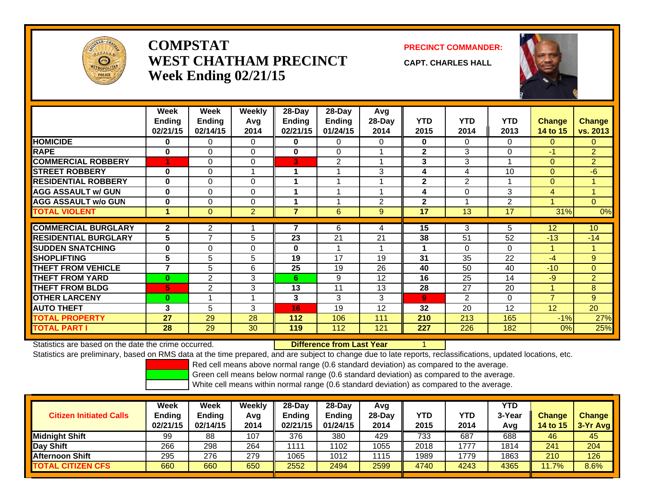

## **COMPSTATWEST CHATHAM PRECINCTWeek Ending 02/21/15**

**PRECINCT COMMANDER:**

**CAPT. CHARLES HALL**



|                             | Week<br><b>Ending</b><br>02/21/15 | Week<br><b>Ending</b><br>02/14/15 | Weekly<br>Avg<br>2014 | 28-Day<br><b>Ending</b><br>02/21/15 | 28-Day<br>Ending<br>01/24/15 | Avg<br>28-Day<br>2014 | <b>YTD</b><br>2015 | <b>YTD</b><br>2014 | <b>YTD</b><br>2013      | <b>Change</b><br>14 to 15 | <b>Change</b><br>vs. 2013 |
|-----------------------------|-----------------------------------|-----------------------------------|-----------------------|-------------------------------------|------------------------------|-----------------------|--------------------|--------------------|-------------------------|---------------------------|---------------------------|
| <b>HOMICIDE</b>             | $\bf{0}$                          | 0                                 | $\Omega$              | $\bf{0}$                            | $\Omega$                     | $\Omega$              | $\bf{0}$           | 0                  | $\Omega$                | $\Omega$                  | $\mathbf{0}$              |
| <b>RAPE</b>                 | $\bf{0}$                          | $\Omega$                          | $\Omega$              | $\mathbf 0$                         | $\Omega$                     |                       | $\mathbf{2}$       | 3                  | 0                       | $-1$                      | $\overline{2}$            |
| <b>COMMERCIAL ROBBERY</b>   |                                   | $\Omega$                          | $\Omega$              | 3                                   | 2                            |                       | 3                  | 3                  | $\overline{\mathbf{A}}$ | $\Omega$                  | $\overline{2}$            |
| <b>STREET ROBBERY</b>       | $\bf{0}$                          | 0                                 |                       |                                     |                              | 3                     | 4                  | 4                  | 10                      | $\Omega$                  | $-6$                      |
| <b>RESIDENTIAL ROBBERY</b>  | 0                                 | $\Omega$                          | $\Omega$              |                                     |                              |                       | $\mathbf{2}$       | 2                  |                         | $\Omega$                  |                           |
| <b>AGG ASSAULT w/ GUN</b>   | $\bf{0}$                          | $\Omega$                          | $\Omega$              |                                     |                              |                       | 4                  | 0                  | 3                       | $\overline{4}$            |                           |
| <b>AGG ASSAULT w/o GUN</b>  | $\bf{0}$                          | $\Omega$                          | $\Omega$              |                                     |                              | $\overline{2}$        | $\mathbf{2}$       |                    | $\overline{2}$          |                           | $\overline{0}$            |
| <b>TOTAL VIOLENT</b>        | 1                                 | $\Omega$                          | $\overline{2}$        | $\overline{7}$                      | 6                            | 9                     | 17                 | 13                 | 17                      | 31%                       | 0%                        |
|                             |                                   |                                   |                       |                                     |                              |                       |                    |                    |                         |                           |                           |
| <b>COMMERCIAL BURGLARY</b>  | $\overline{2}$                    | 2                                 |                       | 7                                   | 6                            | 4                     | 15                 | 3                  | 5                       | 12                        | 10                        |
| <b>RESIDENTIAL BURGLARY</b> | 5                                 | 7                                 | 5.                    | 23                                  | 21                           | 21                    | 38                 | 51                 | 52                      | $-13$                     | $-14$                     |
| <b>SUDDEN SNATCHING</b>     | 0                                 | $\Omega$                          | $\Omega$              | $\bf{0}$                            |                              |                       |                    | $\Omega$           | $\Omega$                |                           |                           |
| <b>SHOPLIFTING</b>          | 5.                                | 5                                 | 5.                    | 19                                  | 17                           | 19                    | 31                 | 35                 | 22                      | $-4$                      | 9                         |
| THEFT FROM VEHICLE          | 7                                 | 5                                 | 6                     | 25                                  | 19                           | 26                    | 40                 | 50                 | 40                      | $-10$                     | $\overline{0}$            |
| <b>THEFT FROM YARD</b>      | $\bf{0}$                          | 2                                 | 3                     | 6                                   | 9                            | 12                    | 16                 | 25                 | 14                      | $-9$                      | $\overline{2}$            |
| <b>THEFT FROM BLDG</b>      | 5                                 | 2                                 | 3                     | 13                                  | 11                           | 13                    | 28                 | 27                 | 20                      |                           | 8                         |
| <b>OTHER LARCENY</b>        | $\bf{0}$                          |                                   |                       | 3                                   | 3                            | 3                     | $\overline{9}$     | 2                  | 0                       | $\overline{7}$            | 9                         |
| <b>AUTO THEFT</b>           | 3                                 | 5                                 | 3                     | 16                                  | 19                           | 12                    | 32                 | 20                 | 12                      | 12                        | 20                        |
| <b>TOTAL PROPERTY</b>       | 27                                | 29                                | 28                    | 112                                 | 106                          | 111                   | 210                | 213                | 165                     | $-1%$                     | 27%                       |
| <b>TOTAL PART I</b>         | 28                                | 29                                | 30                    | 119                                 | 112                          | 121                   | 227                | 226                | 182                     | 0%                        | 25%                       |

Statistics are based on the date the crime occurred.

Difference from Last Year 1

Statistics are preliminary, based on RMS data at the time prepared, and are subject to change due to late reports, reclassifications, updated locations, etc.

Red cell means above normal range (0.6 standard deviation) as compared to the average.

Green cell means below normal range (0.6 standard deviation) as compared to the average.

| <b>Citizen Initiated Calls</b> | Week<br><b>Ending</b><br>02/21/15 | Week<br><b>Ending</b><br>02/14/15 | Weekly<br>Avg<br>2014 | $28$ -Day<br><b>Ending</b><br>02/21/15 | $28-Dav$<br><b>Ending</b><br>01/24/15 | Avg<br>$28$ -Day<br>2014 | YTD<br>2015 | YTD<br>2014 | YTD<br>3-Year<br>Avg | Change<br><b>14 to 15</b> | <b>Change</b><br>$3-Yr$ Avg |
|--------------------------------|-----------------------------------|-----------------------------------|-----------------------|----------------------------------------|---------------------------------------|--------------------------|-------------|-------------|----------------------|---------------------------|-----------------------------|
| <b>Midnight Shift</b>          | 99                                | 88                                | 107                   | 376                                    | 380                                   | 429                      | 733         | 687         | 688                  | 46                        | 45                          |
| <b>Day Shift</b>               | 266                               | 298                               | 264                   | 1111                                   | 1102                                  | 1055                     | 2018        | 1777        | 1814                 | 241                       | 204                         |
| IAfternoon Shift               | 295                               | 276                               | 279                   | 1065                                   | 1012                                  | 1115                     | 1989        | 1779        | 1863                 | 210                       | 126                         |
| <b>TOTAL CITIZEN CFS</b>       | 660                               | 660                               | 650                   | 2552                                   | 2494                                  | 2599                     | 4740        | 4243        | 4365                 | 1.7%                      | 8.6%                        |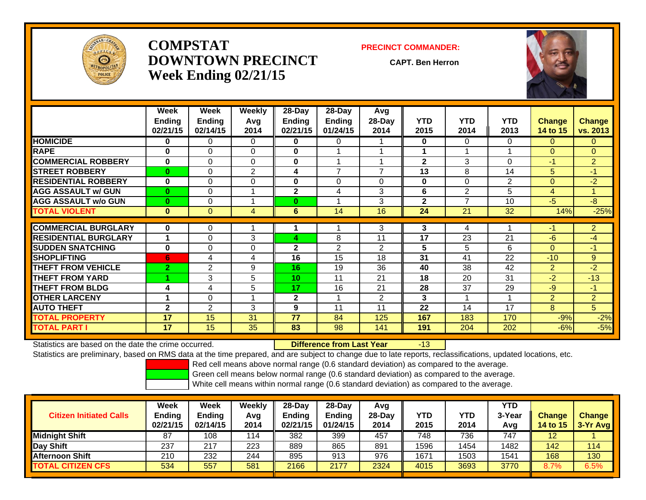

### **COMPSTATDOWNTOWN PRECINCTWeek Ending 02/21/15**

#### **PRECINCT COMMANDER:**

**CAPT. Ben Herron**

-13



|                             | Week<br><b>Ending</b><br>02/21/15 | Week<br><b>Ending</b><br>02/14/15 | Weekly<br>Avg<br>2014 | $28-Day$<br><b>Ending</b><br>02/21/15 | 28-Day<br>Endina<br>01/24/15 | Avg<br>28-Day<br>2014    | <b>YTD</b><br>2015 | <b>YTD</b><br>2014 | <b>YTD</b><br>2013 | <b>Change</b><br>14 to 15 | <b>Change</b><br>vs. 2013 |
|-----------------------------|-----------------------------------|-----------------------------------|-----------------------|---------------------------------------|------------------------------|--------------------------|--------------------|--------------------|--------------------|---------------------------|---------------------------|
| <b>HOMICIDE</b>             | 0                                 | 0                                 | $\Omega$              | $\bf{0}$                              | $\Omega$                     |                          | $\mathbf{0}$       | 0                  | $\Omega$           | 0                         | $\mathbf{0}$              |
| <b>RAPE</b>                 | 0                                 | $\Omega$                          | 0                     | $\bf{0}$                              |                              |                          |                    |                    |                    | $\Omega$                  | $\Omega$                  |
| <b>COMMERCIAL ROBBERY</b>   | $\bf{0}$                          | $\Omega$                          | $\Omega$              | $\bf{0}$                              |                              |                          | $\mathbf{2}$       | 3                  | $\Omega$           | $-1$                      | $\overline{2}$            |
| <b>STREET ROBBERY</b>       | $\mathbf{0}$                      | $\Omega$                          | $\overline{2}$        | 4                                     | $\overline{ }$               | $\overline{\phantom{a}}$ | 13                 | 8                  | 14                 | 5                         | $-1$                      |
| <b>RESIDENTIAL ROBBERY</b>  | $\bf{0}$                          | $\Omega$                          | $\Omega$              | $\mathbf{0}$                          | $\Omega$                     | $\Omega$                 | $\bf{0}$           | $\Omega$           | $\overline{2}$     | $\Omega$                  | $-2$                      |
| <b>AGG ASSAULT w/ GUN</b>   | $\mathbf{0}$                      | $\Omega$                          |                       | $\mathbf{2}$                          | 4                            | 3                        | 6                  | $\overline{2}$     | 5                  | $\overline{4}$            | 1                         |
| <b>AGG ASSAULT w/o GUN</b>  | $\bf{0}$                          | 0                                 |                       | $\bf{0}$                              |                              | 3                        | $\mathbf{2}$       | 7                  | 10                 | $-5$                      | $-8$                      |
| <b>TOTAL VIOLENT</b>        | $\mathbf{0}$                      | $\mathbf{0}$                      | 4                     | 6                                     | 14                           | 16                       | 24                 | 21                 | 32                 | 14%                       | $-25%$                    |
|                             |                                   |                                   |                       |                                       |                              |                          |                    |                    |                    |                           |                           |
| <b>COMMERCIAL BURGLARY</b>  | 0                                 | $\Omega$                          |                       |                                       |                              | 3                        | 3                  | 4                  |                    | $-1$                      | $\overline{2}$            |
| <b>RESIDENTIAL BURGLARY</b> |                                   | $\Omega$                          | 3                     | 4                                     | 8                            | 11                       | 17                 | 23                 | 21                 | $-6$                      | $-4$                      |
| <b>SUDDEN SNATCHING</b>     | $\bf{0}$                          | $\Omega$                          | 0                     | $\mathbf{2}$                          | 2                            | 2                        | 5                  | 5                  | 6                  | $\Omega$                  | $-1$                      |
| <b>SHOPLIFTING</b>          | 6                                 | 4                                 | 4                     | 16                                    | 15                           | 18                       | 31                 | 41                 | 22                 | $-10$                     | 9                         |
| <b>THEFT FROM VEHICLE</b>   | $\overline{2}$                    | 2                                 | 9                     | 16                                    | 19                           | 36                       | 40                 | 38                 | 42                 | $\overline{2}$            | $-2$                      |
| <b>THEFT FROM YARD</b>      |                                   | 3                                 | 5                     | 10                                    | 11                           | 21                       | 18                 | 20                 | 31                 | $-2$                      | $-13$                     |
| <b>THEFT FROM BLDG</b>      | 4                                 | 4                                 | 5                     | 17                                    | 16                           | 21                       | 28                 | 37                 | 29                 | $-9$                      | $-1$                      |
| <b>OTHER LARCENY</b>        |                                   | $\Omega$                          |                       | $\mathbf{2}$                          |                              | $\overline{2}$           | 3                  |                    | 1                  | $\overline{2}$            | $\overline{2}$            |
| <b>AUTO THEFT</b>           | $\mathbf{2}$                      | $\overline{2}$                    | 3                     | 9                                     | 11                           | 11                       | 22                 | 14                 | 17                 | 8                         | 5                         |
| <b>TOTAL PROPERTY</b>       | 17                                | 15                                | 31                    | 77                                    | 84                           | 125                      | 167                | 183                | 170                | $-9%$                     | $-2%$                     |
| <b>TOTAL PART I</b>         | 17                                | 15                                | 35                    | 83                                    | 98                           | 141                      | 191                | 204                | 202                | $-6%$                     | $-5%$                     |

Statistics are based on the date the crime occurred. **Difference from Last Year** 

Statistics are preliminary, based on RMS data at the time prepared, and are subject to change due to late reports, reclassifications, updated locations, etc.

Red cell means above normal range (0.6 standard deviation) as compared to the average.

Green cell means below normal range (0.6 standard deviation) as compared to the average.

| <b>Citizen Initiated Calls</b> | <b>Week</b><br><b>Ending</b><br>02/21/15 | <b>Week</b><br><b>Ending</b><br>02/14/15 | Weekly<br>Avg<br>2014 | $28$ -Dav<br><b>Ending</b><br>02/21/15 | 28-Day<br><b>Ending</b><br>01/24/15 | Avg<br>28-Day<br>2014 | YTD<br>2015 | YTD<br>2014 | YTD<br>3-Year<br>Avg | Change<br><b>14 to 15</b> | <b>Change</b><br>$3-Yr$ Avg |
|--------------------------------|------------------------------------------|------------------------------------------|-----------------------|----------------------------------------|-------------------------------------|-----------------------|-------------|-------------|----------------------|---------------------------|-----------------------------|
| <b>Midnight Shift</b>          | 87                                       | 08                                       | 114                   | 382                                    | 399                                 | 457                   | 748         | 736         | 747                  | 12                        |                             |
| Day Shift                      | 237                                      | 217                                      | 223                   | 889                                    | 865                                 | 891                   | 1596        | 1454        | 1482                 | 142                       | 114                         |
| <b>Afternoon Shift</b>         | 210                                      | 232                                      | 244                   | 895                                    | 913                                 | 976                   | 1671        | 1503        | 1541                 | 168                       | 130                         |
| <b>TOTAL CITIZEN CFS</b>       | 534                                      | 557                                      | 581                   | 2166                                   | 2177                                | 2324                  | 4015        | 3693        | 3770                 | 8.7%                      | 6.5%                        |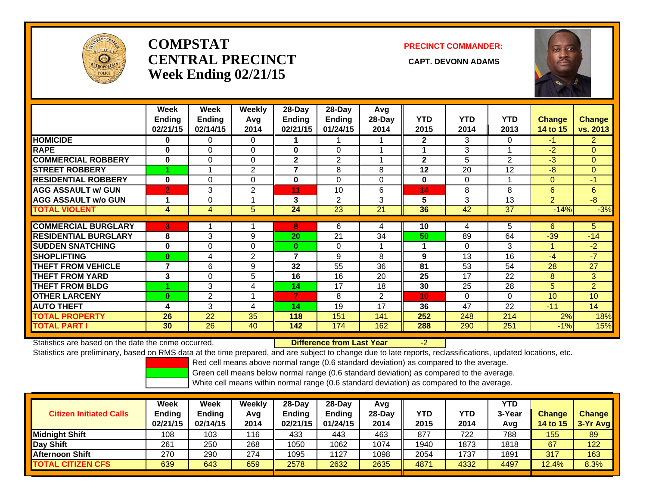

# **COMPSTATCENTRAL PRECINCT CAPT. DEVONN ADAMSWeek Ending 02/21/15**

### **PRECINCT COMMANDER:**



|                             | Week           | Week           | Weekly         | 28-Day         | 28-Day         | Avg            |              |            |            |                |                |
|-----------------------------|----------------|----------------|----------------|----------------|----------------|----------------|--------------|------------|------------|----------------|----------------|
|                             | <b>Ending</b>  | Ending         | Avg            | Ending         | <b>Ending</b>  | 28-Day         | <b>YTD</b>   | <b>YTD</b> | <b>YTD</b> | <b>Change</b>  | <b>Change</b>  |
|                             | 02/21/15       | 02/14/15       | 2014           | 02/21/15       | 01/24/15       | 2014           | 2015         | 2014       | 2013       | 14 to 15       | vs. 2013       |
| <b>HOMICIDE</b>             | $\bf{0}$       | $\Omega$       | $\Omega$       |                |                |                | $\mathbf{2}$ | 3          | 0          | $-1$           | $\overline{2}$ |
| <b>RAPE</b>                 | $\bf{0}$       | $\Omega$       | $\Omega$       | $\mathbf{0}$   | $\Omega$       |                | 1            | 3          |            | $-2$           | $\Omega$       |
| <b>COMMERCIAL ROBBERY</b>   | $\bf{0}$       | $\Omega$       | $\Omega$       | $\mathbf{2}$   | $\overline{2}$ |                | $\mathbf{2}$ | 5          | 2          | $-3$           | $\Omega$       |
| <b>STREET ROBBERY</b>       |                |                | 2              | $\overline{7}$ | 8              | 8              | 12           | 20         | 12         | $-8$           | $\overline{0}$ |
| <b>RESIDENTIAL ROBBERY</b>  | $\bf{0}$       | $\Omega$       | $\Omega$       | 0              | $\Omega$       | 0              | $\bf{0}$     | 0          |            | $\Omega$       | $-1$           |
| <b>AGG ASSAULT w/ GUN</b>   | $\overline{2}$ | 3              | 2              | 11             | 10             | 6              | 14           | 8          | 8          | 6              | 6              |
| <b>AGG ASSAULT w/o GUN</b>  |                | $\Omega$       |                | 3              | $\overline{2}$ | 3              | 5            | 3          | 13         | $\overline{2}$ | $-8$           |
| <b>TOTAL VIOLENT</b>        | 4              | $\overline{4}$ | 5              | 24             | 23             | 21             | 36           | 42         | 37         | $-14%$         | $-3%$          |
|                             |                |                |                |                |                |                |              |            |            |                |                |
| <b>COMMERCIAL BURGLARY</b>  | 3              |                |                | 8              | 6              | 4              | 10           | 4          | 5          | 6              | 5.             |
| <b>RESIDENTIAL BURGLARY</b> | 8              | 3              | 9              | 20             | 21             | 34             | 50           | 89         | 64         | $-39$          | $-14$          |
| <b>SUDDEN SNATCHING</b>     | $\bf{0}$       | $\Omega$       | $\Omega$       | $\bf{0}$       | $\Omega$       |                | 1            | 0          | 3          |                | $-2$           |
| <b>SHOPLIFTING</b>          | $\mathbf{0}$   | 4              | $\overline{2}$ | 7              | 9              | 8              | 9            | 13         | 16         | $-4$           | -7             |
| <b>THEFT FROM VEHICLE</b>   | 7              | 6              | 9              | 32             | 55             | 36             | 81           | 53         | 54         | 28             | 27             |
| <b>THEFT FROM YARD</b>      | 3              | $\Omega$       | 5              | 16             | 16             | 20             | 25           | 17         | 22         | 8              | 3              |
| <b>THEFT FROM BLDG</b>      |                | 3              | 4              | 14             | 17             | 18             | 30           | 25         | 28         | 5              | $\overline{2}$ |
| <b>OTHER LARCENY</b>        | $\mathbf{0}$   | 2              |                | $\overline{7}$ | 8              | $\overline{2}$ | 10           | 0          | $\Omega$   | 10             | 10             |
| <b>AUTO THEFT</b>           | 4              | 3              | 4              | 14             | 19             | 17             | 36           | 47         | 22         | $-11$          | 14             |
| <b>TOTAL PROPERTY</b>       | 26             | 22             | 35             | 118            | 151            | 141            | 252          | 248        | 214        | 2%             | 18%            |
| <b>TOTAL PART I</b>         | 30             | 26             | 40             | 142            | 174            | 162            | 288          | 290        | 251        | $-1%$          | 15%            |

Statistics are based on the date the crime occurred. **Difference from Last Year** 

-2

Statistics are preliminary, based on RMS data at the time prepared, and are subject to change due to late reports, reclassifications, updated locations, etc.

Red cell means above normal range (0.6 standard deviation) as compared to the average.

Green cell means below normal range (0.6 standard deviation) as compared to the average.

| <b>Citizen Initiated Calls</b> | Week<br><b>Ending</b><br>02/21/15 | <b>Week</b><br><b>Ending</b><br>02/14/15 | Weekly<br>Avg<br>2014 | $28$ -Dav<br>Endina<br>02/21/15 | $28-Dav$<br><b>Ending</b><br>01/24/15 | Avq<br>$28-Dav$<br>2014 | YTD<br>2015 | <b>YTD</b><br>2014 | <b>YTD</b><br>3-Year<br>Avg | <b>Change</b><br>14 to 15 | <b>Change</b><br>3-Yr Aval |
|--------------------------------|-----------------------------------|------------------------------------------|-----------------------|---------------------------------|---------------------------------------|-------------------------|-------------|--------------------|-----------------------------|---------------------------|----------------------------|
| <b>Midnight Shift</b>          | 108                               | 103                                      | 116                   | 433                             | 443                                   | 463                     | 877         | 722                | 788                         | 155                       | 89                         |
| Day Shift                      | 261                               | 250                                      | 268                   | 1050                            | 1062                                  | 1074                    | 1940        | 1873               | 1818                        | 67                        | 122                        |
| <b>Afternoon Shift</b>         | 270                               | 290                                      | 274                   | 1095                            | 1127                                  | 1098                    | 2054        | 1737               | 1891                        | 317                       | 163                        |
| <b>TOTAL CITIZEN CFS</b>       | 639                               | 643                                      | 659                   | 2578                            | 2632                                  | 2635                    | 4871        | 4332               | 4497                        | 12.4%                     | 8.3%                       |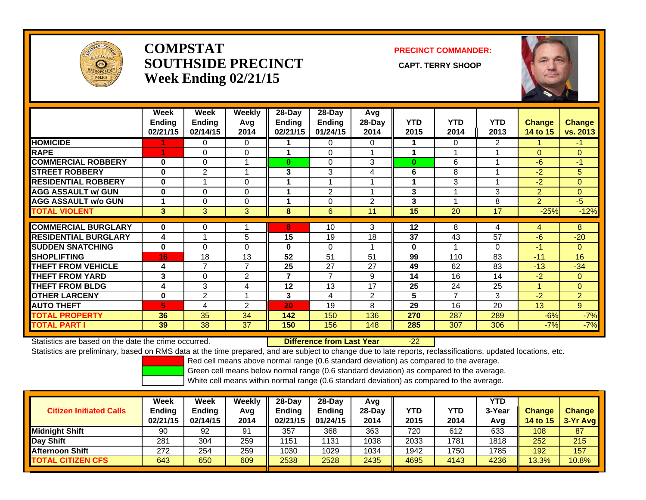

### **COMPSTATSOUTHSIDE PRECINCT** CAPT. TERRY SHOOP **Week Ending 02/21/15**

**PRECINCT COMMANDER:**



|                             | Week<br>Ending<br>02/21/15 | Week<br><b>Ending</b><br>02/14/15 | Weekly<br>Avq<br>2014 | $28$ -Day<br><b>Ending</b><br>02/21/15 | $28 - Day$<br>Ending<br>01/24/15 | Avg<br>28-Day<br>2014 | <b>YTD</b><br>2015 | <b>YTD</b><br>2014 | <b>YTD</b><br>2013 | <b>Change</b><br>14 to 15 | <b>Change</b><br>vs. 2013 |
|-----------------------------|----------------------------|-----------------------------------|-----------------------|----------------------------------------|----------------------------------|-----------------------|--------------------|--------------------|--------------------|---------------------------|---------------------------|
| <b>HOMICIDE</b>             |                            | 0                                 | $\Omega$              |                                        | 0                                | 0                     | 1                  | 0                  | 2                  |                           | -1                        |
| <b>RAPE</b>                 |                            | $\Omega$                          | $\Omega$              | 1                                      | 0                                |                       | 1                  | 4                  |                    | $\Omega$                  | $\mathbf{0}$              |
| <b>COMMERCIAL ROBBERY</b>   | $\bf{0}$                   | $\Omega$                          |                       | $\bf{0}$                               | 0                                | 3                     | $\bf{0}$           | 6                  | 4                  | $-6$                      | $-1$                      |
| <b>STREET ROBBERY</b>       | $\bf{0}$                   | 2                                 |                       | 3                                      | 3                                | 4                     | 6                  | 8                  |                    | $-2$                      | 5                         |
| <b>RESIDENTIAL ROBBERY</b>  | $\bf{0}$                   |                                   | $\Omega$              |                                        |                                  |                       | 1                  | 3                  | 4                  | $-2$                      | $\Omega$                  |
| <b>AGG ASSAULT w/ GUN</b>   | $\bf{0}$                   | $\Omega$                          | $\Omega$              |                                        | $\overline{2}$                   |                       | 3                  |                    | 3                  | $\overline{2}$            | $\Omega$                  |
| <b>AGG ASSAULT w/o GUN</b>  |                            | $\Omega$                          | $\Omega$              |                                        | 0                                | $\overline{2}$        | 3                  |                    | 8                  | $\overline{2}$            | $-5$                      |
| <b>TOTAL VIOLENT</b>        | 3 <sup>1</sup>             | 3                                 | 3                     | 8                                      | 6                                | 11                    | 15                 | 20                 | 17                 | $-25%$                    | $-12%$                    |
|                             |                            |                                   |                       |                                        |                                  |                       |                    |                    |                    |                           |                           |
| <b>COMMERCIAL BURGLARY</b>  | $\bf{0}$                   | 0                                 |                       | 8                                      | 10                               | 3                     | 12                 | 8                  | 4                  | 4                         | 8                         |
| <b>RESIDENTIAL BURGLARY</b> | 4                          |                                   | 5                     | 15                                     | 19                               | 18                    | 37                 | 43                 | 57                 | $-6$                      | $-20$                     |
| <b>SUDDEN SNATCHING</b>     | $\bf{0}$                   | $\Omega$                          | $\Omega$              | $\bf{0}$                               | 0                                |                       | 0                  |                    | $\Omega$           | -1                        | $\Omega$                  |
| <b>SHOPLIFTING</b>          | 16                         | 18                                | 13                    | 52                                     | 51                               | 51                    | 99                 | 110                | 83                 | $-11$                     | 16                        |
| <b>THEFT FROM VEHICLE</b>   | 4                          | 7                                 | $\overline{7}$        | 25                                     | 27                               | 27                    | 49                 | 62                 | 83                 | $-13$                     | $-34$                     |
| <b>THEFT FROM YARD</b>      | $\mathbf{3}$               | $\Omega$                          | $\overline{2}$        | $\overline{7}$                         | $\overline{7}$                   | 9                     | 14                 | 16                 | 14                 | $-2$                      | $\overline{0}$            |
| <b>THEFT FROM BLDG</b>      | 4                          | 3                                 | 4                     | 12                                     | 13                               | 17                    | 25                 | 24                 | 25                 |                           | $\Omega$                  |
| <b>OTHER LARCENY</b>        | 0                          | 2                                 |                       | 3                                      | 4                                | $\overline{2}$        | 5                  | $\overline{7}$     | 3                  | $-2$                      | $\overline{2}$            |
| <b>AUTO THEFT</b>           | 5                          | 4                                 | $\overline{2}$        | 20                                     | 19                               | 8                     | 29                 | 16                 | 20                 | 13                        | 9                         |
| <b>TOTAL PROPERTY</b>       | 36                         | 35                                | 34                    | 142                                    | 150                              | 136                   | 270                | 287                | 289                | $-6%$                     | $-7%$                     |
| <b>TOTAL PART I</b>         | 39                         | 38                                | 37                    | 150                                    | 156                              | 148                   | 285                | 307                | 306                | $-7%$                     | $-7%$                     |

Statistics are based on the date the crime occurred. **Difference from Last Year** 

 $-22$ 

Statistics are preliminary, based on RMS data at the time prepared, and are subject to change due to late reports, reclassifications, updated locations, etc.

Red cell means above normal range (0.6 standard deviation) as compared to the average.

Green cell means below normal range (0.6 standard deviation) as compared to the average.

| <b>Citizen Initiated Calls</b> | Week<br><b>Ending</b><br>02/21/15 | Week<br>Ending<br>02/14/15 | Weekly<br>Avg<br>2014 | $28-Dav$<br>Ending<br>02/21/15 | $28$ -Dav<br><b>Ending</b><br>01/24/15 | Avg<br>$28-Dav$<br>2014 | YTD<br>2015 | YTD<br>2014 | YTD<br>3-Year<br>Avg | <b>Change</b><br>14 to $152$ | <b>Change</b><br>3-Yr Avg |
|--------------------------------|-----------------------------------|----------------------------|-----------------------|--------------------------------|----------------------------------------|-------------------------|-------------|-------------|----------------------|------------------------------|---------------------------|
| <b>I</b> Midniaht Shift        | 90                                | 92                         | 91                    | 357                            | 368                                    | 363                     | 720         | 612         | 633                  | 108                          | 87                        |
| Day Shift                      | 281                               | 304                        | 259                   | 1151                           | 131                                    | 1038                    | 2033        | 1781        | 1818                 | 252                          | 215                       |
| <b>Afternoon Shift</b>         | 272                               | 254                        | 259                   | 1030                           | 1029                                   | 1034                    | 1942        | 1750        | 1785                 | 192                          | 157                       |
| <b>TOTAL CITIZEN CFS</b>       | 643                               | 650                        | 609                   | 2538                           | 2528                                   | 2435                    | 4695        | 4143        | 4236                 | 13.3%                        | 10.8%                     |